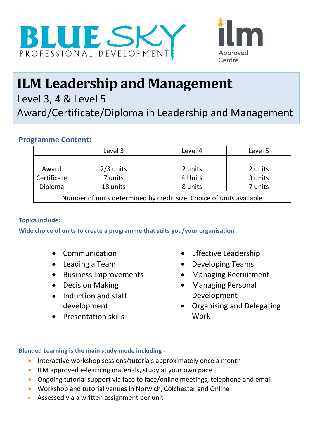



# **ILM Leadership and Management**

Level 3, 4 & Level 5

Award/Certificate/Diploma in Leadership and Management

## **Programme Content:**

|                                                                      | Level 3     | Level 4 | Level 5 |  |
|----------------------------------------------------------------------|-------------|---------|---------|--|
|                                                                      |             |         |         |  |
| Award                                                                | $2/3$ units | 2 units | 2 units |  |
| Certificate                                                          | 7 units     | 4 Units | 3 units |  |
| Diploma                                                              | 18 units    | 8 units | 7 units |  |
| Number of units determined by credit size. Choice of units available |             |         |         |  |

## **Topics include:**

**Wide choice of units to create a programme that suits you/your organisation**

- Communication
- Leading a Team
- Business Improvements
- Decision Making
- Induction and staff development
- Presentation skills
- Effective Leadership
- Developing Teams
- Managing Recruitment
- Managing Personal Development
- Organising and Delegating Work

## **Blended Learning is the main study mode including -**

- Interactive workshop sessions/tutorials approximately once a month
- ILM approved e-learning materials, study at your own pace
- Ongoing tutorial support via face to face/online meetings, telephone and email
- Workshop and tutorial venues in Norwich, Colchester and Online
- Assessed via a written assignment per unit